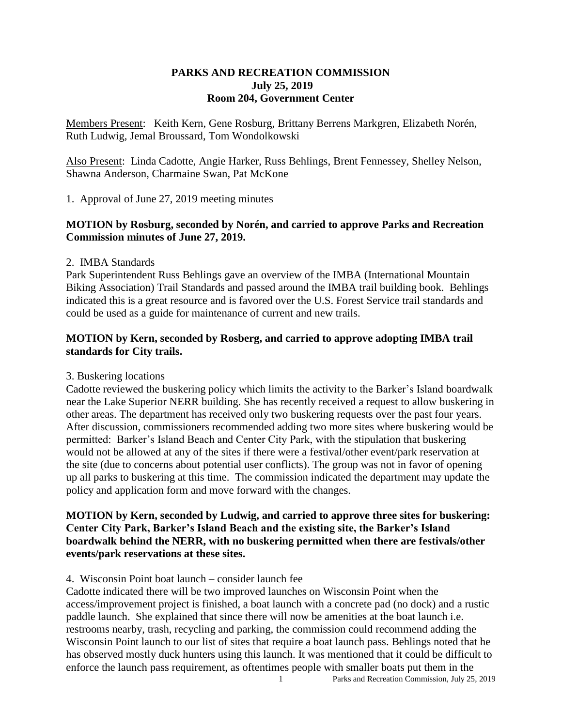### **PARKS AND RECREATION COMMISSION July 25, 2019 Room 204, Government Center**

Members Present: Keith Kern, Gene Rosburg, Brittany Berrens Markgren, Elizabeth Norén, Ruth Ludwig, Jemal Broussard, Tom Wondolkowski

Also Present: Linda Cadotte, Angie Harker, Russ Behlings, Brent Fennessey, Shelley Nelson, Shawna Anderson, Charmaine Swan, Pat McKone

1. Approval of June 27, 2019 meeting minutes

## **MOTION by Rosburg, seconded by Norén, and carried to approve Parks and Recreation Commission minutes of June 27, 2019.**

#### 2. IMBA Standards

Park Superintendent Russ Behlings gave an overview of the IMBA (International Mountain Biking Association) Trail Standards and passed around the IMBA trail building book. Behlings indicated this is a great resource and is favored over the U.S. Forest Service trail standards and could be used as a guide for maintenance of current and new trails.

## **MOTION by Kern, seconded by Rosberg, and carried to approve adopting IMBA trail standards for City trails.**

## 3. Buskering locations

Cadotte reviewed the buskering policy which limits the activity to the Barker's Island boardwalk near the Lake Superior NERR building. She has recently received a request to allow buskering in other areas. The department has received only two buskering requests over the past four years. After discussion, commissioners recommended adding two more sites where buskering would be permitted: Barker's Island Beach and Center City Park, with the stipulation that buskering would not be allowed at any of the sites if there were a festival/other event/park reservation at the site (due to concerns about potential user conflicts). The group was not in favor of opening up all parks to buskering at this time. The commission indicated the department may update the policy and application form and move forward with the changes.

## **MOTION by Kern, seconded by Ludwig, and carried to approve three sites for buskering: Center City Park, Barker's Island Beach and the existing site, the Barker's Island boardwalk behind the NERR, with no buskering permitted when there are festivals/other events/park reservations at these sites.**

#### 4. Wisconsin Point boat launch – consider launch fee

Cadotte indicated there will be two improved launches on Wisconsin Point when the access/improvement project is finished, a boat launch with a concrete pad (no dock) and a rustic paddle launch. She explained that since there will now be amenities at the boat launch i.e. restrooms nearby, trash, recycling and parking, the commission could recommend adding the Wisconsin Point launch to our list of sites that require a boat launch pass. Behlings noted that he has observed mostly duck hunters using this launch. It was mentioned that it could be difficult to enforce the launch pass requirement, as oftentimes people with smaller boats put them in the

1 Parks and Recreation Commission, July 25, 2019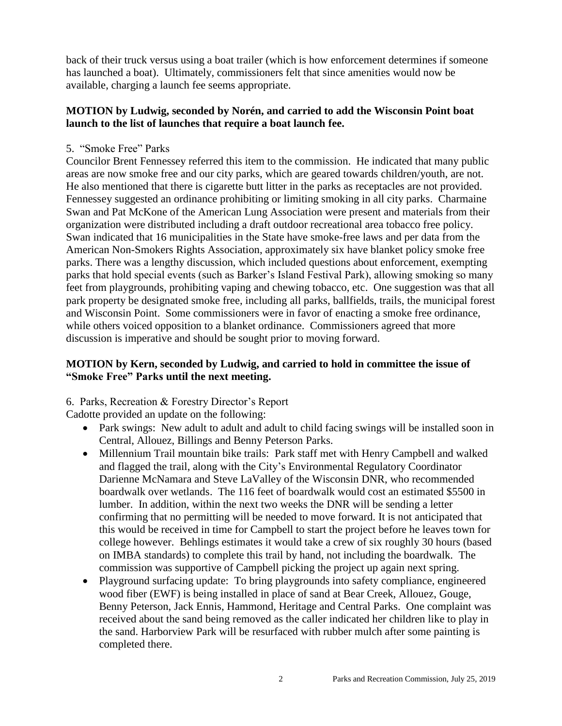back of their truck versus using a boat trailer (which is how enforcement determines if someone has launched a boat). Ultimately, commissioners felt that since amenities would now be available, charging a launch fee seems appropriate.

## **MOTION by Ludwig, seconded by Norén, and carried to add the Wisconsin Point boat launch to the list of launches that require a boat launch fee.**

5. "Smoke Free" Parks

Councilor Brent Fennessey referred this item to the commission. He indicated that many public areas are now smoke free and our city parks, which are geared towards children/youth, are not. He also mentioned that there is cigarette butt litter in the parks as receptacles are not provided. Fennessey suggested an ordinance prohibiting or limiting smoking in all city parks. Charmaine Swan and Pat McKone of the American Lung Association were present and materials from their organization were distributed including a draft outdoor recreational area tobacco free policy. Swan indicated that 16 municipalities in the State have smoke-free laws and per data from the American Non-Smokers Rights Association, approximately six have blanket policy smoke free parks. There was a lengthy discussion, which included questions about enforcement, exempting parks that hold special events (such as Barker's Island Festival Park), allowing smoking so many feet from playgrounds, prohibiting vaping and chewing tobacco, etc. One suggestion was that all park property be designated smoke free, including all parks, ballfields, trails, the municipal forest and Wisconsin Point. Some commissioners were in favor of enacting a smoke free ordinance, while others voiced opposition to a blanket ordinance. Commissioners agreed that more discussion is imperative and should be sought prior to moving forward.

# **MOTION by Kern, seconded by Ludwig, and carried to hold in committee the issue of "Smoke Free" Parks until the next meeting.**

6. Parks, Recreation & Forestry Director's Report

Cadotte provided an update on the following:

- Park swings: New adult to adult and adult to child facing swings will be installed soon in Central, Allouez, Billings and Benny Peterson Parks.
- Millennium Trail mountain bike trails: Park staff met with Henry Campbell and walked and flagged the trail, along with the City's Environmental Regulatory Coordinator Darienne McNamara and Steve LaValley of the Wisconsin DNR, who recommended boardwalk over wetlands. The 116 feet of boardwalk would cost an estimated \$5500 in lumber. In addition, within the next two weeks the DNR will be sending a letter confirming that no permitting will be needed to move forward. It is not anticipated that this would be received in time for Campbell to start the project before he leaves town for college however. Behlings estimates it would take a crew of six roughly 30 hours (based on IMBA standards) to complete this trail by hand, not including the boardwalk. The commission was supportive of Campbell picking the project up again next spring.
- Playground surfacing update: To bring playgrounds into safety compliance, engineered wood fiber (EWF) is being installed in place of sand at Bear Creek, Allouez, Gouge, Benny Peterson, Jack Ennis, Hammond, Heritage and Central Parks. One complaint was received about the sand being removed as the caller indicated her children like to play in the sand. Harborview Park will be resurfaced with rubber mulch after some painting is completed there.